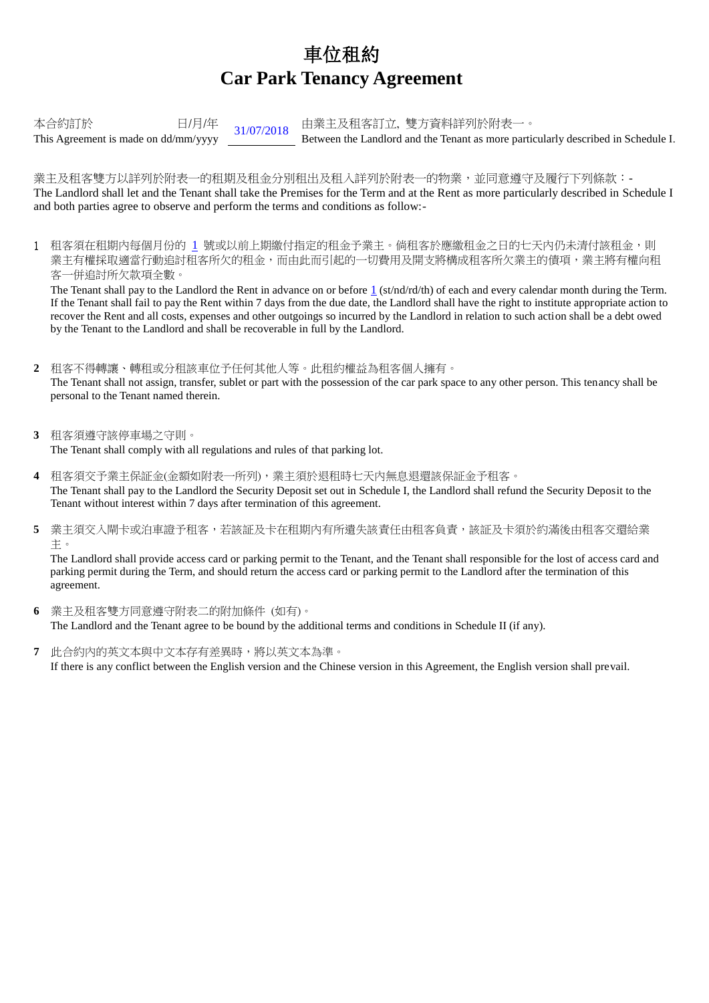## 車位租約 **Car Park Tenancy Agreement**

本合約訂於 <br>  $\frac{H}{H} = \frac{31}{07/2018}$  由業主及租客訂立, 雙方資料詳列於附表一。<br>
Between the Landlord and the Tenant as more parti Between the Landlord and the Tenant as more particularly described in Schedule I.

業主及租客雙方以詳列於附表一的租期及租金分別租出及租入詳列於附表一的物業,並同意遵守及履行下列條款:-The Landlord shall let and the Tenant shall take the Premises for the Term and at the Rent as more particularly described in Schedule I and both parties agree to observe and perform the terms and conditions as follow:-

1 租客須在租期內每個月份的 1 號或以前上期繳付指定的租金予業主。倘租客於應繳租金之日的七天內仍未清付該租金,則 業主有權採取適當行動追討租客所欠的租金,而由此而引起的一切費用及開支將構成租客所欠業主的債項,業主將有權向租 客一併追討所欠款項全數。

The Tenant shall pay to the Landlord the Rent in advance on or before  $1$  (st/nd/rd/th) of each and every calendar month during the Term. If the Tenant shall fail to pay the Rent within 7 days from the due date, the Landlord shall have the right to institute appropriate action to recover the Rent and all costs, expenses and other outgoings so incurred by the Landlord in relation to such action shall be a debt owed by the Tenant to the Landlord and shall be recoverable in full by the Landlord.

- **2** 租客不得轉讓、轉租或分租該車位予任何其他人等。此租約權益為租客個人擁有。 The Tenant shall not assign, transfer, sublet or part with the possession of the car park space to any other person. This tenancy shall be personal to the Tenant named therein.
- **3** 租客須遵守該停車場之守則。 The Tenant shall comply with all regulations and rules of that parking lot.
- **4** 租客須交予業主保証金(金額如附表一所列),業主須於退租時七天內無息退還該保証金予租客。 The Tenant shall pay to the Landlord the Security Deposit set out in Schedule I, the Landlord shall refund the Security Deposit to the Tenant without interest within 7 days after termination of this agreement.
- 5 業主須交入閘卡或泊車證予租客,若該証及卡在租期內有所遺失該責任由租客負責,該証及卡須於約滿後由租客交還給業 主。

The Landlord shall provide access card or parking permit to the Tenant, and the Tenant shall responsible for the lost of access card and parking permit during the Term, and should return the access card or parking permit to the Landlord after the termination of this agreement.

- **6** 業主及租客雙方同意遵守附表二的附加條件 (如有)。 The Landlord and the Tenant agree to be bound by the additional terms and conditions in Schedule II (if any).
- **7** 此合約內的英文本與中文本存有差異時,將以英文本為準。 If there is any conflict between the English version and the Chinese version in this Agreement, the English version shall prevail.